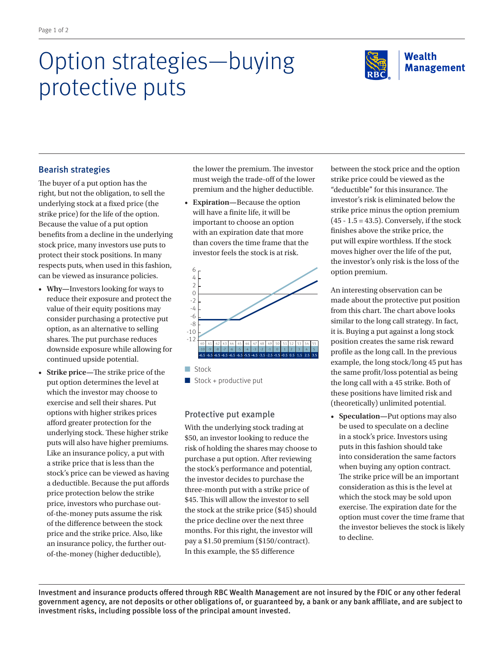# Option strategies—buying protective puts



## Bearish strategies

The buyer of a put option has the right, but not the obligation, to sell the underlying stock at a fixed price (the strike price) for the life of the option. Because the value of a put option benefits from a decline in the underlying stock price, many investors use puts to protect their stock positions. In many respects puts, when used in this fashion, can be viewed as insurance policies.

- **Why—**Investors looking for ways to reduce their exposure and protect the value of their equity positions may consider purchasing a protective put option, as an alternative to selling shares. The put purchase reduces downside exposure while allowing for continued upside potential.
- **Strike price—**The strike price of the put option determines the level at which the investor may choose to exercise and sell their shares. Put options with higher strikes prices afford greater protection for the underlying stock. These higher strike puts will also have higher premiums. Like an insurance policy, a put with a strike price that is less than the stock's price can be viewed as having a deductible. Because the put affords price protection below the strike price, investors who purchase outof-the-money puts assume the risk of the difference between the stock price and the strike price. Also, like an insurance policy, the further outof-the-money (higher deductible),

the lower the premium. The investor must weigh the trade-off of the lower premium and the higher deductible.

• **Expiration—**Because the option will have a finite life, it will be important to choose an option with an expiration date that more than covers the time frame that the investor feels the stock is at risk.



**n** Stock

 $\blacksquare$  Stock + productive put

## Protective put example

With the underlying stock trading at \$50, an investor looking to reduce the risk of holding the shares may choose to purchase a put option. After reviewing the stock's performance and potential, the investor decides to purchase the three-month put with a strike price of \$45. This will allow the investor to sell the stock at the strike price (\$45) should the price decline over the next three months. For this right, the investor will pay a \$1.50 premium (\$150/contract). In this example, the \$5 difference

between the stock price and the option strike price could be viewed as the "deductible" for this insurance. The investor's risk is eliminated below the strike price minus the option premium  $(45 - 1.5 = 43.5)$ . Conversely, if the stock finishes above the strike price, the put will expire worthless. If the stock moves higher over the life of the put, the investor's only risk is the loss of the option premium.

An interesting observation can be made about the protective put position from this chart. The chart above looks similar to the long call strategy. In fact, it is. Buying a put against a long stock position creates the same risk reward profile as the long call. In the previous example, the long stock/long 45 put has the same profit/loss potential as being the long call with a 45 strike. Both of these positions have limited risk and (theoretically) unlimited potential.

• **Speculation—**Put options may also be used to speculate on a decline in a stock's price. Investors using puts in this fashion should take into consideration the same factors when buying any option contract. The strike price will be an important consideration as this is the level at which the stock may be sold upon exercise. The expiration date for the option must cover the time frame that the investor believes the stock is likely to decline.

Investment and insurance products offered through RBC Wealth Management are not insured by the FDIC or any other federal government agency, are not deposits or other obligations of, or guaranteed by, a bank or any bank affiliate, and are subject to investment risks, including possible loss of the principal amount invested.